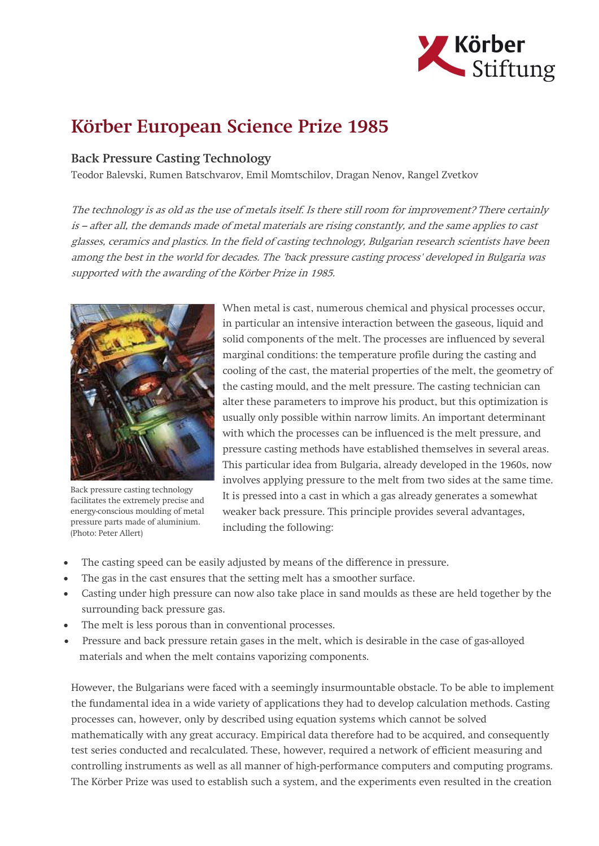

## Körber European Science Prize 1985

## Back Pressure Casting Technology

Teodor Balevski, Rumen Batschvarov, Emil Momtschilov, Dragan Nenov, Rangel Zvetkov

The technology is as old as the use of metals itself. Is there still room for improvement? There certainly is – after all, the demands made of metal materials are rising constantly, and the same applies to cast glasses, ceramics and plastics. In the field of casting technology, Bulgarian research scientists have been among the best in the world for decades. The 'back pressure casting process' developed in Bulgaria was supported with the awarding of the Körber Prize in 1985.



Back pressure casting technology facilitates the extremely precise and energy-conscious moulding of metal pressure parts made of aluminium. (Photo: Peter Allert)

When metal is cast, numerous chemical and physical processes occur, in particular an intensive interaction between the gaseous, liquid and solid components of the melt. The processes are influenced by several marginal conditions: the temperature profile during the casting and cooling of the cast, the material properties of the melt, the geometry of the casting mould, and the melt pressure. The casting technician can alter these parameters to improve his product, but this optimization is usually only possible within narrow limits. An important determinant with which the processes can be influenced is the melt pressure, and pressure casting methods have established themselves in several areas. This particular idea from Bulgaria, already developed in the 1960s, now involves applying pressure to the melt from two sides at the same time. It is pressed into a cast in which a gas already generates a somewhat weaker back pressure. This principle provides several advantages, including the following:

- The casting speed can be easily adjusted by means of the difference in pressure.
- The gas in the cast ensures that the setting melt has a smoother surface.
- Casting under high pressure can now also take place in sand moulds as these are held together by the surrounding back pressure gas.
- The melt is less porous than in conventional processes.
- Pressure and back pressure retain gases in the melt, which is desirable in the case of gas-alloyed materials and when the melt contains vaporizing components.

However, the Bulgarians were faced with a seemingly insurmountable obstacle. To be able to implement the fundamental idea in a wide variety of applications they had to develop calculation methods. Casting processes can, however, only by described using equation systems which cannot be solved mathematically with any great accuracy. Empirical data therefore had to be acquired, and consequently test series conducted and recalculated. These, however, required a network of efficient measuring and controlling instruments as well as all manner of high-performance computers and computing programs. The Körber Prize was used to establish such a system, and the experiments even resulted in the creation